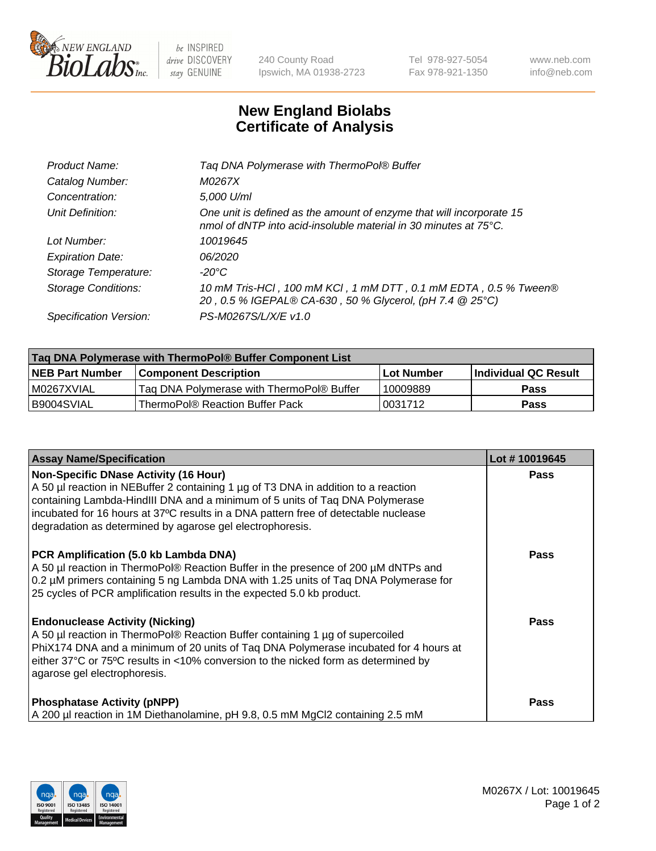

 $be$  INSPIRED drive DISCOVERY stay GENUINE

240 County Road Ipswich, MA 01938-2723 Tel 978-927-5054 Fax 978-921-1350 www.neb.com info@neb.com

## **New England Biolabs Certificate of Analysis**

| Taq DNA Polymerase with ThermoPol® Buffer                                                                                                |
|------------------------------------------------------------------------------------------------------------------------------------------|
| M0267X                                                                                                                                   |
| 5,000 U/ml                                                                                                                               |
| One unit is defined as the amount of enzyme that will incorporate 15<br>nmol of dNTP into acid-insoluble material in 30 minutes at 75°C. |
| 10019645                                                                                                                                 |
| 06/2020                                                                                                                                  |
| $-20^{\circ}$ C                                                                                                                          |
| 10 mM Tris-HCl, 100 mM KCl, 1 mM DTT, 0.1 mM EDTA, 0.5 % Tween®<br>20, 0.5 % IGEPAL® CA-630, 50 % Glycerol, (pH 7.4 @ 25°C)              |
| PS-M0267S/L/X/E v1.0                                                                                                                     |
|                                                                                                                                          |

| Tag DNA Polymerase with ThermoPol® Buffer Component List |                                           |                   |                      |  |
|----------------------------------------------------------|-------------------------------------------|-------------------|----------------------|--|
| <b>NEB Part Number</b>                                   | <b>Component Description</b>              | <b>Lot Number</b> | Individual QC Result |  |
| I M0267XVIAL                                             | Tag DNA Polymerase with ThermoPol® Buffer | 10009889          | <b>Pass</b>          |  |
| B9004SVIAL                                               | ThermoPol® Reaction Buffer Pack           | '0031712          | <b>Pass</b>          |  |

| <b>Assay Name/Specification</b>                                                                                                                                                                                                                                                                                                                                        | Lot #10019645 |
|------------------------------------------------------------------------------------------------------------------------------------------------------------------------------------------------------------------------------------------------------------------------------------------------------------------------------------------------------------------------|---------------|
| <b>Non-Specific DNase Activity (16 Hour)</b><br>A 50 µl reaction in NEBuffer 2 containing 1 µg of T3 DNA in addition to a reaction<br>containing Lambda-HindIII DNA and a minimum of 5 units of Taq DNA Polymerase<br>incubated for 16 hours at 37°C results in a DNA pattern free of detectable nuclease<br>degradation as determined by agarose gel electrophoresis. | <b>Pass</b>   |
| PCR Amplification (5.0 kb Lambda DNA)<br>A 50 µl reaction in ThermoPol® Reaction Buffer in the presence of 200 µM dNTPs and<br>0.2 µM primers containing 5 ng Lambda DNA with 1.25 units of Tag DNA Polymerase for<br>25 cycles of PCR amplification results in the expected 5.0 kb product.                                                                           | Pass          |
| <b>Endonuclease Activity (Nicking)</b><br>A 50 µl reaction in ThermoPol® Reaction Buffer containing 1 µg of supercoiled<br>PhiX174 DNA and a minimum of 20 units of Taq DNA Polymerase incubated for 4 hours at<br>either 37°C or 75°C results in <10% conversion to the nicked form as determined by<br>agarose gel electrophoresis.                                  | <b>Pass</b>   |
| <b>Phosphatase Activity (pNPP)</b><br>A 200 µl reaction in 1M Diethanolamine, pH 9.8, 0.5 mM MgCl2 containing 2.5 mM                                                                                                                                                                                                                                                   | Pass          |